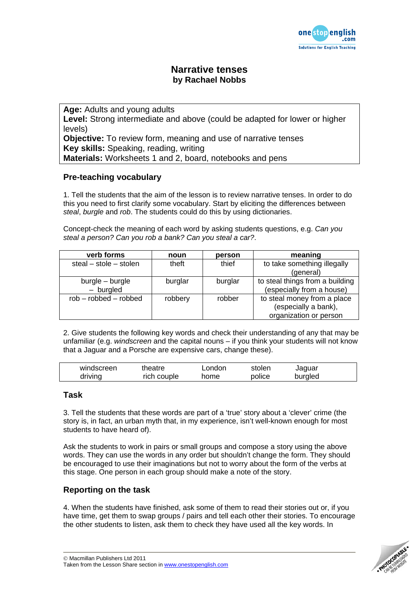

## **Narrative tenses by Rachael Nobbs**

**Age:** Adults and young adults **Level:** Strong intermediate and above (could be adapted for lower or higher levels) **Objective:** To review form, meaning and use of narrative tenses **Key skills:** Speaking, reading, writing **Materials:** Worksheets 1 and 2, board, notebooks and pens

### **Pre-teaching vocabulary**

1. Tell the students that the aim of the lesson is to review narrative tenses. In order to do this you need to first clarify some vocabulary. Start by eliciting the differences between *steal*, *burgle* and *rob*. The students could do this by using dictionaries.

Concept-check the meaning of each word by asking students questions, e.g. *Can you steal a person? Can you rob a bank? Can you steal a car?*.

| verb forms                 | noun    | person  | meaning                         |  |
|----------------------------|---------|---------|---------------------------------|--|
| steal $-$ stole $-$ stolen | theft   | thief   | to take something illegally     |  |
|                            |         |         | (general)                       |  |
| burgle – burgle            | burglar | burglar | to steal things from a building |  |
| - burgled                  |         |         | (especially from a house)       |  |
| $rob - robbed - robbed$    | robbery | robber  | to steal money from a place     |  |
|                            |         |         | (especially a bank),            |  |
|                            |         |         | organization or person          |  |

2. Give students the following key words and check their understanding of any that may be unfamiliar (e.g. *windscreen* and the capital nouns – if you think your students will not know that a Jaguar and a Porsche are expensive cars, change these).

| windscreen | theatre *   | London | stolen | Jaquar  |  |
|------------|-------------|--------|--------|---------|--|
| driving    | rich couple | home   | police | burgled |  |

### **Task**

3. Tell the students that these words are part of a 'true' story about a 'clever' crime (the story is, in fact, an urban myth that, in my experience, isn't well-known enough for most students to have heard of).

Ask the students to work in pairs or small groups and compose a story using the above words. They can use the words in any order but shouldn't change the form. They should be encouraged to use their imaginations but not to worry about the form of the verbs at this stage. One person in each group should make a note of the story.

## **Reporting on the task**

4. When the students have finished, ask some of them to read their stories out or, if you have time, get them to swap groups / pairs and tell each other their stories. To encourage the other students to listen, ask them to check they have used all the key words. In

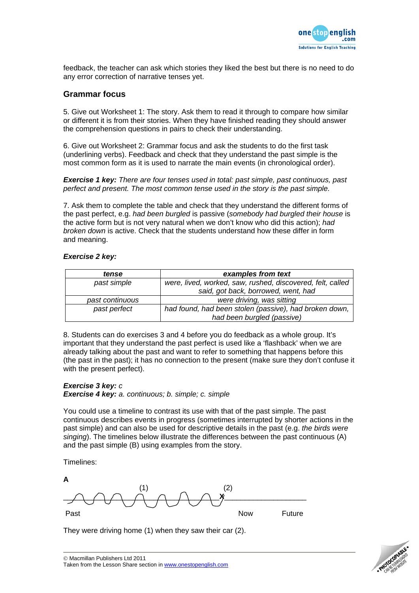

feedback, the teacher can ask which stories they liked the best but there is no need to do any error correction of narrative tenses yet.

#### **Grammar focus**

5. Give out Worksheet 1: The story. Ask them to read it through to compare how similar or different it is from their stories. When they have finished reading they should answer the comprehension questions in pairs to check their understanding.

6. Give out Worksheet 2: Grammar focus and ask the students to do the first task (underlining verbs). Feedback and check that they understand the past simple is the most common form as it is used to narrate the main events (in chronological order).

*Exercise 1 key: There are four tenses used in total: past simple, past continuous, past perfect and present. The most common tense used in the story is the past simple.* 

7. Ask them to complete the table and check that they understand the different forms of the past perfect, e.g. *had been burgled* is passive (*somebody had burgled their house* is the active form but is not very natural when we don't know who did this action); *had broken down* is active. Check that the students understand how these differ in form and meaning.

| tense           | examples from text                                         |  |  |
|-----------------|------------------------------------------------------------|--|--|
| past simple     | were, lived, worked, saw, rushed, discovered, felt, called |  |  |
|                 | said, got back, borrowed, went, had                        |  |  |
| past continuous | were driving, was sitting                                  |  |  |
| past perfect    | had found, had been stolen (passive), had broken down,     |  |  |
|                 | had been burgled (passive)                                 |  |  |

#### *Exercise 2 key:*

8. Students can do exercises 3 and 4 before you do feedback as a whole group. It's important that they understand the past perfect is used like a 'flashback' when we are already talking about the past and want to refer to something that happens before this (the past in the past); it has no connection to the present (make sure they don't confuse it with the present perfect).

## *Exercise 3 key: c*

*Exercise 4 key: a. continuous; b. simple; c. simple* 

You could use a timeline to contrast its use with that of the past simple. The past continuous describes events in progress (sometimes interrupted by shorter actions in the past simple) and can also be used for descriptive details in the past (e.g. *the birds were singing*). The timelines below illustrate the differences between the past continuous (A) and the past simple (B) using examples from the story.

Timelines:

**A**   $(1)$  (2)  $\overline{\wedge}\wedge\overline{\wedge}\wedge\overline{\wedge}\wedge\overline{\wedge}\wedge\overline{\wedge}\overline{\wedge}\overline{\wedge}$ Past **Now** Future

They were driving home (1) when they saw their car (2).

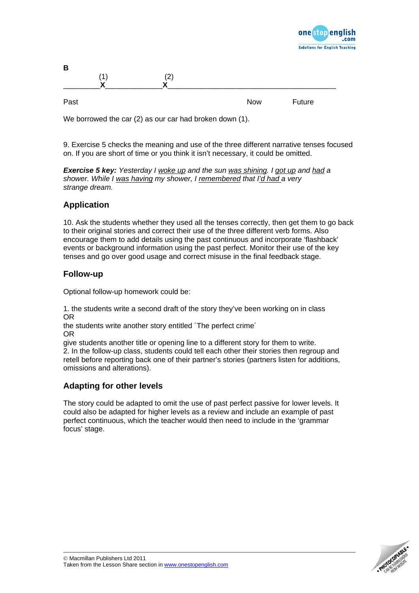

| В    | ΄4 | (2) |            |        |  |
|------|----|-----|------------|--------|--|
|      |    | v   |            |        |  |
| Past |    |     | <b>Now</b> | Future |  |

We borrowed the car (2) as our car had broken down (1).

9. Exercise 5 checks the meaning and use of the three different narrative tenses focused on. If you are short of time or you think it isn't necessary, it could be omitted.

*Exercise 5 key: Yesterday I woke up and the sun was shining. I got up and had a shower. While I was having my shower, I remembered that I'd had a very strange dream.* 

## **Application**

10. Ask the students whether they used all the tenses correctly, then get them to go back to their original stories and correct their use of the three different verb forms. Also encourage them to add details using the past continuous and incorporate 'flashback' events or background information using the past perfect. Monitor their use of the key tenses and go over good usage and correct misuse in the final feedback stage.

### **Follow-up**

Optional follow-up homework could be:

1. the students write a second draft of the story they've been working on in class OR

the students write another story entitled ´The perfect crime´ OR

give students another title or opening line to a different story for them to write.

2. In the follow-up class, students could tell each other their stories then regroup and retell before reporting back one of their partner's stories (partners listen for additions, omissions and alterations).

## **Adapting for other levels**

The story could be adapted to omit the use of past perfect passive for lower levels. It could also be adapted for higher levels as a review and include an example of past perfect continuous, which the teacher would then need to include in the 'grammar focus' stage.

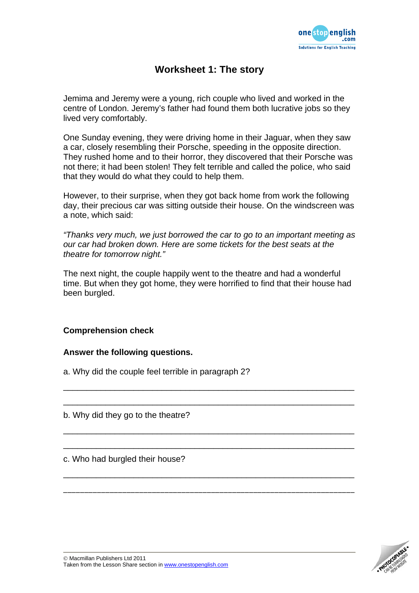

## **Worksheet 1: The story**

Jemima and Jeremy were a young, rich couple who lived and worked in the centre of London. Jeremy's father had found them both lucrative jobs so they lived very comfortably.

One Sunday evening, they were driving home in their Jaguar, when they saw a car, closely resembling their Porsche, speeding in the opposite direction. They rushed home and to their horror, they discovered that their Porsche was not there; it had been stolen! They felt terrible and called the police, who said that they would do what they could to help them.

However, to their surprise, when they got back home from work the following day, their precious car was sitting outside their house. On the windscreen was a note, which said:

*"Thanks very much, we just borrowed the car to go to an important meeting as our car had broken down. Here are some tickets for the best seats at the theatre for tomorrow night."* 

The next night, the couple happily went to the theatre and had a wonderful time. But when they got home, they were horrified to find that their house had been burgled.

\_\_\_\_\_\_\_\_\_\_\_\_\_\_\_\_\_\_\_\_\_\_\_\_\_\_\_\_\_\_\_\_\_\_\_\_\_\_\_\_\_\_\_\_\_\_\_\_\_\_\_\_\_\_\_\_\_\_\_\_\_\_

\_\_\_\_\_\_\_\_\_\_\_\_\_\_\_\_\_\_\_\_\_\_\_\_\_\_\_\_\_\_\_\_\_\_\_\_\_\_\_\_\_\_\_\_\_\_\_\_\_\_\_\_\_\_\_\_\_\_\_\_\_\_

\_\_\_\_\_\_\_\_\_\_\_\_\_\_\_\_\_\_\_\_\_\_\_\_\_\_\_\_\_\_\_\_\_\_\_\_\_\_\_\_\_\_\_\_\_\_\_\_\_\_\_\_\_\_\_\_\_\_\_\_\_\_

\_\_\_\_\_\_\_\_\_\_\_\_\_\_\_\_\_\_\_\_\_\_\_\_\_\_\_\_\_\_\_\_\_\_\_\_\_\_\_\_\_\_\_\_\_\_\_\_\_\_\_\_\_\_\_\_\_\_\_\_\_\_

\_\_\_\_\_\_\_\_\_\_\_\_\_\_\_\_\_\_\_\_\_\_\_\_\_\_\_\_\_\_\_\_\_\_\_\_\_\_\_\_\_\_\_\_\_\_\_\_\_\_\_\_\_\_\_\_\_\_\_\_\_\_

\_\_\_\_\_\_\_\_\_\_\_\_\_\_\_\_\_\_\_\_\_\_\_\_\_\_\_\_\_\_\_\_\_\_\_\_\_\_\_\_\_\_\_\_\_\_\_\_\_\_\_\_\_\_\_\_\_\_\_\_\_\_\_\_\_\_\_\_\_

## **Comprehension check**

### **Answer the following questions.**

a. Why did the couple feel terrible in paragraph 2?

b. Why did they go to the theatre?

c. Who had burgled their house?

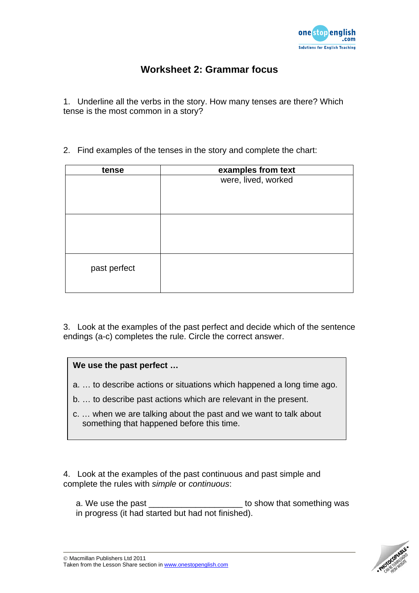

# **Worksheet 2: Grammar focus**

1. Underline all the verbs in the story. How many tenses are there? Which tense is the most common in a story?

2. Find examples of the tenses in the story and complete the chart:

| tense        | examples from text  |  |  |
|--------------|---------------------|--|--|
|              | were, lived, worked |  |  |
|              |                     |  |  |
|              |                     |  |  |
|              |                     |  |  |
|              |                     |  |  |
|              |                     |  |  |
|              |                     |  |  |
|              |                     |  |  |
| past perfect |                     |  |  |
|              |                     |  |  |
|              |                     |  |  |

3. Look at the examples of the past perfect and decide which of the sentence endings (a-c) completes the rule. Circle the correct answer.

## **We use the past perfect …**

- a. … to describe actions or situations which happened a long time ago.
- b. … to describe past actions which are relevant in the present.
- c. … when we are talking about the past and we want to talk about something that happened before this time.

4. Look at the examples of the past continuous and past simple and complete the rules with *simple* or *continuous*:

a. We use the past \_\_\_\_\_\_\_\_\_\_\_\_\_\_\_\_\_\_\_\_\_\_\_ to show that something was in progress (it had started but had not finished).